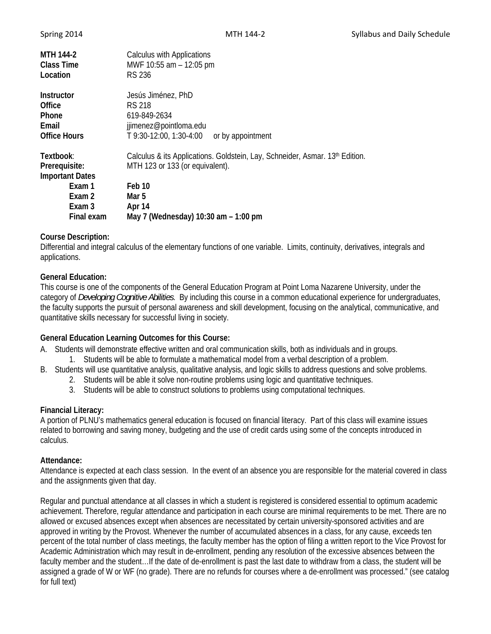| Spring 2014 |  |
|-------------|--|
|             |  |

| MTH 144-2<br><b>Class Time</b><br>Location | Calculus with Applications<br>MWF 10:55 am - 12:05 pm<br><b>RS 236</b>       |
|--------------------------------------------|------------------------------------------------------------------------------|
| Instructor                                 | Jesús Jiménez, PhD                                                           |
| Office                                     | RS 218                                                                       |
| <b>Phone</b>                               | 619-849-2634                                                                 |
| Email                                      | jjimenez@pointloma.edu                                                       |
| <b>Office Hours</b>                        | T 9:30-12:00, 1:30-4:00<br>or by appointment                                 |
| Textbook:                                  | Calculus & its Applications. Goldstein, Lay, Schneider, Asmar. 13th Edition. |
| Prerequisite:                              | MTH 123 or 133 (or equivalent).                                              |
| <b>Important Dates</b>                     |                                                                              |
| Exam 1                                     | Feb 10                                                                       |
| Exam 2                                     | Mar 5                                                                        |
| Exam 3                                     | Apr 14                                                                       |
| Final exam                                 | May 7 (Wednesday) 10:30 am - 1:00 pm                                         |

# **Course Description:**

Differential and integral calculus of the elementary functions of one variable. Limits, continuity, derivatives, integrals and applications.

## **General Education:**

This course is one of the components of the General Education Program at Point Loma Nazarene University, under the category of *Developing Cognitive Abilities*. By including this course in a common educational experience for undergraduates, the faculty supports the pursuit of personal awareness and skill development, focusing on the analytical, communicative, and quantitative skills necessary for successful living in society.

## **General Education Learning Outcomes for this Course:**

- A. Students will demonstrate effective written and oral communication skills, both as individuals and in groups.
	- 1. Students will be able to formulate a mathematical model from a verbal description of a problem.
- B. Students will use quantitative analysis, qualitative analysis, and logic skills to address questions and solve problems.
	- 2. Students will be able it solve non-routine problems using logic and quantitative techniques.
	- 3. Students will be able to construct solutions to problems using computational techniques.

## **Financial Literacy:**

A portion of PLNU's mathematics general education is focused on financial literacy. Part of this class will examine issues related to borrowing and saving money, budgeting and the use of credit cards using some of the concepts introduced in calculus.

## **Attendance:**

Attendance is expected at each class session. In the event of an absence you are responsible for the material covered in class and the assignments given that day.

Regular and punctual attendance at all classes in which a student is registered is considered essential to optimum academic achievement. Therefore, regular attendance and participation in each course are minimal requirements to be met. There are no allowed or excused absences except when absences are necessitated by certain university-sponsored activities and are approved in writing by the Provost. Whenever the number of accumulated absences in a class, for any cause, exceeds ten percent of the total number of class meetings, the faculty member has the option of filing a written report to the Vice Provost for Academic Administration which may result in de-enrollment, pending any resolution of the excessive absences between the faculty member and the student…If the date of de-enrollment is past the last date to withdraw from a class, the student will be assigned a grade of W or WF (no grade). There are no refunds for courses where a de-enrollment was processed." (see catalog for full text)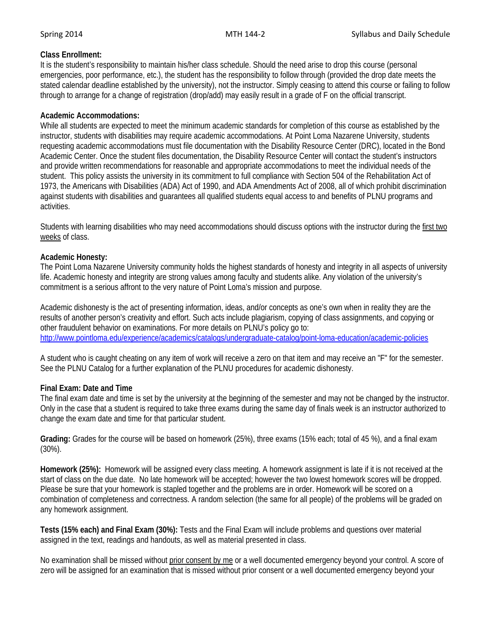# **Class Enrollment:**

It is the student's responsibility to maintain his/her class schedule. Should the need arise to drop this course (personal emergencies, poor performance, etc.), the student has the responsibility to follow through (provided the drop date meets the stated calendar deadline established by the university), not the instructor. Simply ceasing to attend this course or failing to follow through to arrange for a change of registration (drop/add) may easily result in a grade of F on the official transcript.

## **Academic Accommodations:**

While all students are expected to meet the minimum academic standards for completion of this course as established by the instructor, students with disabilities may require academic accommodations. At Point Loma Nazarene University, students requesting academic accommodations must file documentation with the Disability Resource Center (DRC), located in the Bond Academic Center. Once the student files documentation, the Disability Resource Center will contact the student's instructors and provide written recommendations for reasonable and appropriate accommodations to meet the individual needs of the student. This policy assists the university in its commitment to full compliance with Section 504 of the Rehabilitation Act of 1973, the Americans with Disabilities (ADA) Act of 1990, and ADA Amendments Act of 2008, all of which prohibit discrimination against students with disabilities and guarantees all qualified students equal access to and benefits of PLNU programs and activities.

Students with learning disabilities who may need accommodations should discuss options with the instructor during the first two weeks of class.

## **Academic Honesty:**

The Point Loma Nazarene University community holds the highest standards of honesty and integrity in all aspects of university life. Academic honesty and integrity are strong values among faculty and students alike. Any violation of the university's commitment is a serious affront to the very nature of Point Loma's mission and purpose.

Academic dishonesty is the act of presenting information, ideas, and/or concepts as one's own when in reality they are the results of another person's creativity and effort. Such acts include plagiarism, copying of class assignments, and copying or other fraudulent behavior on examinations. For more details on PLNU's policy go to: http://www.pointloma.edu/experience/academics/catalogs/undergraduate-catalog/point-loma-education/academic-policies

A student who is caught cheating on any item of work will receive a zero on that item and may receive an "F" for the semester. See the PLNU Catalog for a further explanation of the PLNU procedures for academic dishonesty.

# **Final Exam: Date and Time**

The final exam date and time is set by the university at the beginning of the semester and may not be changed by the instructor. Only in the case that a student is required to take three exams during the same day of finals week is an instructor authorized to change the exam date and time for that particular student.

**Grading:** Grades for the course will be based on homework (25%), three exams (15% each; total of 45 %), and a final exam (30%).

**Homework (25%):** Homework will be assigned every class meeting. A homework assignment is late if it is not received at the start of class on the due date. No late homework will be accepted; however the two lowest homework scores will be dropped. Please be sure that your homework is stapled together and the problems are in order. Homework will be scored on a combination of completeness and correctness. A random selection (the same for all people) of the problems will be graded on any homework assignment.

**Tests (15% each) and Final Exam (30%):** Tests and the Final Exam will include problems and questions over material assigned in the text, readings and handouts, as well as material presented in class.

No examination shall be missed without prior consent by me or a well documented emergency beyond your control. A score of zero will be assigned for an examination that is missed without prior consent or a well documented emergency beyond your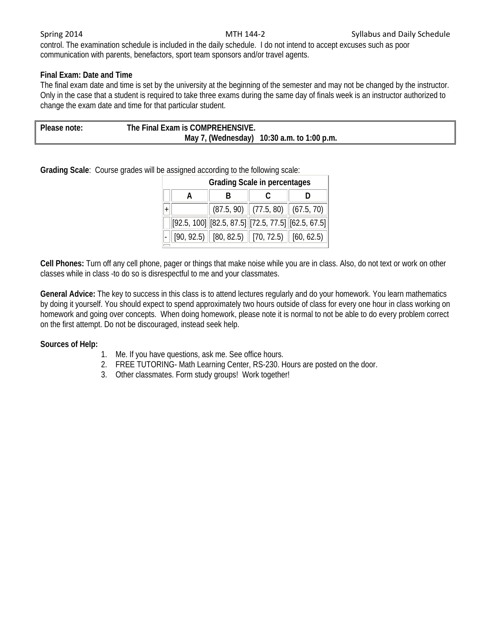control. The examination schedule is included in the daily schedule. I do not intend to accept excuses such as poor communication with parents, benefactors, sport team sponsors and/or travel agents.

# **Final Exam: Date and Time**

The final exam date and time is set by the university at the beginning of the semester and may not be changed by the instructor. Only in the case that a student is required to take three exams during the same day of finals week is an instructor authorized to change the exam date and time for that particular student.

| Please note: | The Final Exam is COMPREHENSIVE. |                                            |
|--------------|----------------------------------|--------------------------------------------|
|              |                                  | May 7, (Wednesday) 10:30 a.m. to 1:00 p.m. |

**Grading Scale**: Course grades will be assigned according to the following scale:

| <b>Grading Scale in percentages</b> |                                                                                 |  |  |  |
|-------------------------------------|---------------------------------------------------------------------------------|--|--|--|
|                                     |                                                                                 |  |  |  |
|                                     | $\vert$ (87.5, 90) $\vert\vert$ (77.5, 80) $\vert\vert$ (67.5, 70) $\vert\vert$ |  |  |  |
|                                     | $[92.5, 100]$ $[82.5, 87.5]$ $[72.5, 77.5]$ $[62.5, 67.5]$                      |  |  |  |
|                                     | $[90, 92.5)$ $[80, 82.5)$ $[70, 72.5)$ $[60, 62.5)$ $[$                         |  |  |  |

**Cell Phones:** Turn off any cell phone, pager or things that make noise while you are in class. Also, do not text or work on other classes while in class -to do so is disrespectful to me and your classmates.

**General Advice:** The key to success in this class is to attend lectures regularly and do your homework. You learn mathematics by doing it yourself. You should expect to spend approximately two hours outside of class for every one hour in class working on homework and going over concepts. When doing homework, please note it is normal to not be able to do every problem correct on the first attempt. Do not be discouraged, instead seek help.

## **Sources of Help:**

- 1. Me. If you have questions, ask me. See office hours.
- 2. FREE TUTORING- Math Learning Center, RS-230. Hours are posted on the door.
- 3. Other classmates. Form study groups! Work together!